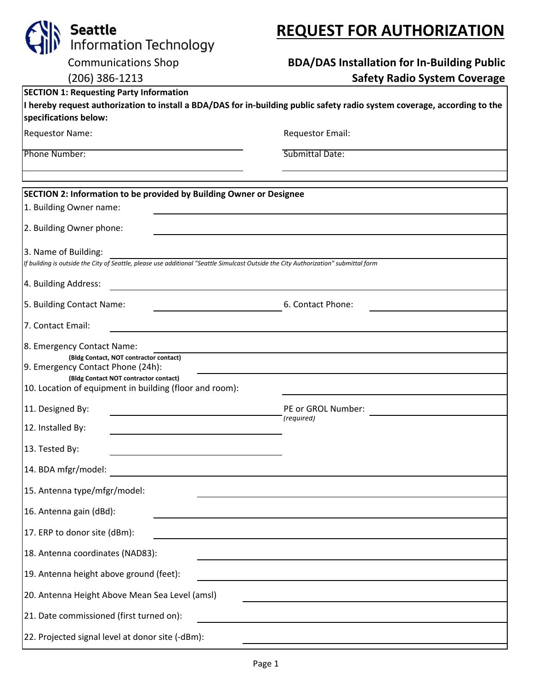| <b>Seattle</b>                                                                                                                                       |                                                                                                                                                                                                                                                                           | <b>REQUEST FOR AUTHORIZATION</b>                                                                                 |  |  |  |  |  |
|------------------------------------------------------------------------------------------------------------------------------------------------------|---------------------------------------------------------------------------------------------------------------------------------------------------------------------------------------------------------------------------------------------------------------------------|------------------------------------------------------------------------------------------------------------------|--|--|--|--|--|
|                                                                                                                                                      | Information Technology                                                                                                                                                                                                                                                    |                                                                                                                  |  |  |  |  |  |
|                                                                                                                                                      | <b>Communications Shop</b>                                                                                                                                                                                                                                                | <b>BDA/DAS Installation for In-Building Public</b>                                                               |  |  |  |  |  |
|                                                                                                                                                      | (206) 386-1213                                                                                                                                                                                                                                                            | <b>Safety Radio System Coverage</b>                                                                              |  |  |  |  |  |
|                                                                                                                                                      | <b>SECTION 1: Requesting Party Information</b>                                                                                                                                                                                                                            |                                                                                                                  |  |  |  |  |  |
| I hereby request authorization to install a BDA/DAS for in-building public safety radio system coverage, according to the<br>specifications below:   |                                                                                                                                                                                                                                                                           |                                                                                                                  |  |  |  |  |  |
| <b>Requestor Name:</b>                                                                                                                               |                                                                                                                                                                                                                                                                           | <b>Requestor Email:</b>                                                                                          |  |  |  |  |  |
| Phone Number:                                                                                                                                        |                                                                                                                                                                                                                                                                           | Submittal Date:                                                                                                  |  |  |  |  |  |
|                                                                                                                                                      |                                                                                                                                                                                                                                                                           |                                                                                                                  |  |  |  |  |  |
|                                                                                                                                                      | SECTION 2: Information to be provided by Building Owner or Designee                                                                                                                                                                                                       |                                                                                                                  |  |  |  |  |  |
| 1. Building Owner name:                                                                                                                              |                                                                                                                                                                                                                                                                           |                                                                                                                  |  |  |  |  |  |
| 2. Building Owner phone:                                                                                                                             |                                                                                                                                                                                                                                                                           |                                                                                                                  |  |  |  |  |  |
| 3. Name of Building:                                                                                                                                 |                                                                                                                                                                                                                                                                           |                                                                                                                  |  |  |  |  |  |
| If building is outside the City of Seattle, please use additional "Seattle Simulcast Outside the City Authorization" submittal form                  |                                                                                                                                                                                                                                                                           |                                                                                                                  |  |  |  |  |  |
| 4. Building Address:                                                                                                                                 |                                                                                                                                                                                                                                                                           |                                                                                                                  |  |  |  |  |  |
|                                                                                                                                                      | 5. Building Contact Name:                                                                                                                                                                                                                                                 | 6. Contact Phone:                                                                                                |  |  |  |  |  |
| 7. Contact Email:                                                                                                                                    |                                                                                                                                                                                                                                                                           |                                                                                                                  |  |  |  |  |  |
|                                                                                                                                                      | 8. Emergency Contact Name:                                                                                                                                                                                                                                                |                                                                                                                  |  |  |  |  |  |
|                                                                                                                                                      | (Bldg Contact, NOT contractor contact)<br>9. Emergency Contact Phone (24h):                                                                                                                                                                                               |                                                                                                                  |  |  |  |  |  |
|                                                                                                                                                      | (Bldg Contact NOT contractor contact)<br>10. Location of equipment in building (floor and room):                                                                                                                                                                          |                                                                                                                  |  |  |  |  |  |
|                                                                                                                                                      |                                                                                                                                                                                                                                                                           |                                                                                                                  |  |  |  |  |  |
| 11. Designed By:                                                                                                                                     |                                                                                                                                                                                                                                                                           | PE or GROL Number:<br>(required)                                                                                 |  |  |  |  |  |
| 12. Installed By:                                                                                                                                    |                                                                                                                                                                                                                                                                           |                                                                                                                  |  |  |  |  |  |
| 13. Tested By:                                                                                                                                       | <u> 1989 - Johann Stoff, amerikansk politiker (</u>                                                                                                                                                                                                                       |                                                                                                                  |  |  |  |  |  |
|                                                                                                                                                      | 14. BDA mfgr/model:<br><u> 1980 - Johann Barbara, martxa alemaniar a</u>                                                                                                                                                                                                  |                                                                                                                  |  |  |  |  |  |
|                                                                                                                                                      | 15. Antenna type/mfgr/model:                                                                                                                                                                                                                                              |                                                                                                                  |  |  |  |  |  |
|                                                                                                                                                      | 16. Antenna gain (dBd):                                                                                                                                                                                                                                                   | and the control of the control of the control of the control of the control of the control of the control of the |  |  |  |  |  |
|                                                                                                                                                      | 17. ERP to donor site (dBm):                                                                                                                                                                                                                                              | and the control of the control of the control of the control of the control of the control of the control of the |  |  |  |  |  |
| 18. Antenna coordinates (NAD83):<br>and the control of the control of the control of the control of the control of the control of the control of the |                                                                                                                                                                                                                                                                           |                                                                                                                  |  |  |  |  |  |
| 19. Antenna height above ground (feet):                                                                                                              |                                                                                                                                                                                                                                                                           |                                                                                                                  |  |  |  |  |  |
| 20. Antenna Height Above Mean Sea Level (amsl)                                                                                                       |                                                                                                                                                                                                                                                                           |                                                                                                                  |  |  |  |  |  |
|                                                                                                                                                      | 21. Date commissioned (first turned on):<br>the control of the control of the control of the control of the control of the control of the control of the control of the control of the control of the control of the control of the control of the control of the control |                                                                                                                  |  |  |  |  |  |
|                                                                                                                                                      | 22. Projected signal level at donor site (-dBm):                                                                                                                                                                                                                          |                                                                                                                  |  |  |  |  |  |

# **REQUEST FOR AUTHORIZATION**